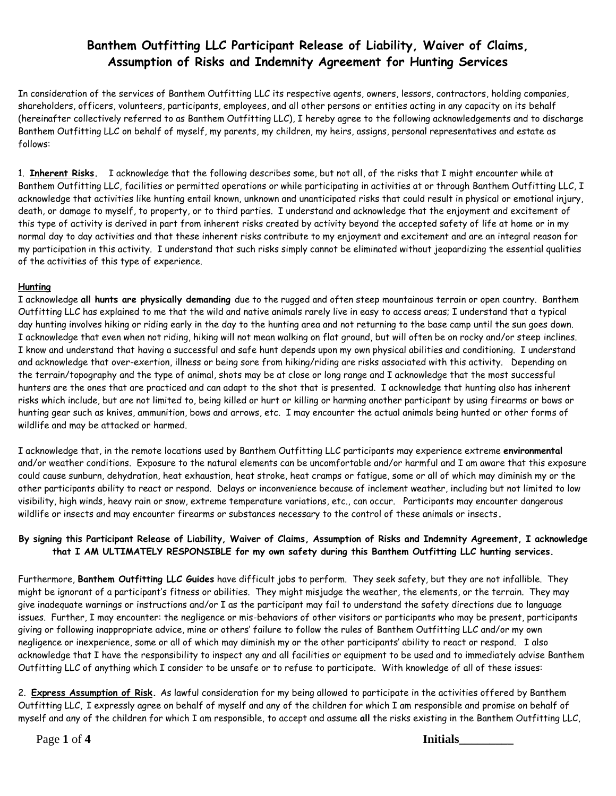In consideration of the services of Banthem Outfitting LLC its respective agents, owners, lessors, contractors, holding companies, shareholders, officers, volunteers, participants, employees, and all other persons or entities acting in any capacity on its behalf (hereinafter collectively referred to as Banthem Outfitting LLC), I hereby agree to the following acknowledgements and to discharge Banthem Outfitting LLC on behalf of myself, my parents, my children, my heirs, assigns, personal representatives and estate as follows:

1. **Inherent Risks.** I acknowledge that the following describes some, but not all, of the risks that I might encounter while at Banthem Outfitting LLC, facilities or permitted operations or while participating in activities at or through Banthem Outfitting LLC, I acknowledge that activities like hunting entail known, unknown and unanticipated risks that could result in physical or emotional injury, death, or damage to myself, to property, or to third parties. I understand and acknowledge that the enjoyment and excitement of this type of activity is derived in part from inherent risks created by activity beyond the accepted safety of life at home or in my normal day to day activities and that these inherent risks contribute to my enjoyment and excitement and are an integral reason for my participation in this activity. I understand that such risks simply cannot be eliminated without jeopardizing the essential qualities of the activities of this type of experience.

#### **Hunting**

I acknowledge **all hunts are physically demanding** due to the rugged and often steep mountainous terrain or open country. Banthem Outfitting LLC has explained to me that the wild and native animals rarely live in easy to access areas; I understand that a typical day hunting involves hiking or riding early in the day to the hunting area and not returning to the base camp until the sun goes down. I acknowledge that even when not riding, hiking will not mean walking on flat ground, but will often be on rocky and/or steep inclines. I know and understand that having a successful and safe hunt depends upon my own physical abilities and conditioning. I understand and acknowledge that over-exertion, illness or being sore from hiking/riding are risks associated with this activity. Depending on the terrain/topography and the type of animal, shots may be at close or long range and I acknowledge that the most successful hunters are the ones that are practiced and can adapt to the shot that is presented. I acknowledge that hunting also has inherent risks which include, but are not limited to, being killed or hurt or killing or harming another participant by using firearms or bows or hunting gear such as knives, ammunition, bows and arrows, etc. I may encounter the actual animals being hunted or other forms of wildlife and may be attacked or harmed.

I acknowledge that, in the remote locations used by Banthem Outfitting LLC participants may experience extreme **environmental**  and/or weather conditions. Exposure to the natural elements can be uncomfortable and/or harmful and I am aware that this exposure could cause sunburn, dehydration, heat exhaustion, heat stroke, heat cramps or fatigue, some or all of which may diminish my or the other participants ability to react or respond. Delays or inconvenience because of inclement weather, including but not limited to low visibility, high winds, heavy rain or snow, extreme temperature variations, etc., can occur. Participants may encounter dangerous wildlife or insects and may encounter firearms or substances necessary to the control of these animals or insects**.**

#### **By signing this Participant Release of Liability, Waiver of Claims, Assumption of Risks and Indemnity Agreement, I acknowledge that I AM ULTIMATELY RESPONSIBLE for my own safety during this Banthem Outfitting LLC hunting services.**

Furthermore, **Banthem Outfitting LLC Guides** have difficult jobs to perform. They seek safety, but they are not infallible. They might be ignorant of a participant's fitness or abilities. They might misjudge the weather, the elements, or the terrain. They may give inadequate warnings or instructions and/or I as the participant may fail to understand the safety directions due to language issues. Further, I may encounter: the negligence or mis-behaviors of other visitors or participants who may be present, participants giving or following inappropriate advice, mine or others' failure to follow the rules of Banthem Outfitting LLC and/or my own negligence or inexperience, some or all of which may diminish my or the other participants' ability to react or respond. I also acknowledge that I have the responsibility to inspect any and all facilities or equipment to be used and to immediately advise Banthem Outfitting LLC of anything which I consider to be unsafe or to refuse to participate. With knowledge of all of these issues:

2. **Express Assumption of Risk.** As lawful consideration for my being allowed to participate in the activities offered by Banthem Outfitting LLC, I expressly agree on behalf of myself and any of the children for which I am responsible and promise on behalf of myself and any of the children for which I am responsible, to accept and assume **all** the risks existing in the Banthem Outfitting LLC,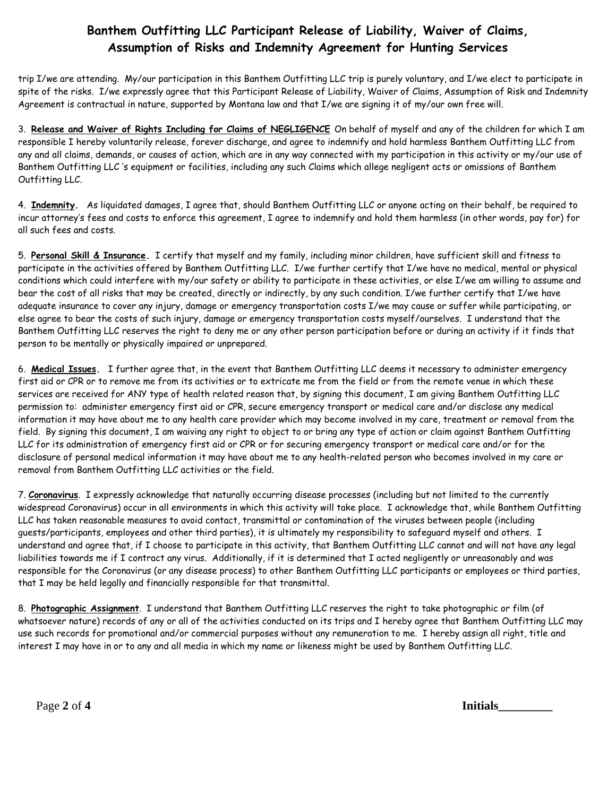trip I/we are attending. My/our participation in this Banthem Outfitting LLC trip is purely voluntary, and I/we elect to participate in spite of the risks. I/we expressly agree that this Participant Release of Liability, Waiver of Claims, Assumption of Risk and Indemnity Agreement is contractual in nature, supported by Montana law and that I/we are signing it of my/our own free will.

3. **Release and Waiver of Rights Including for Claims of NEGLIGENCE** On behalf of myself and any of the children for which I am responsible I hereby voluntarily release, forever discharge, and agree to indemnify and hold harmless Banthem Outfitting LLC from any and all claims, demands, or causes of action, which are in any way connected with my participation in this activity or my/our use of Banthem Outfitting LLC 's equipment or facilities, including any such Claims which allege negligent acts or omissions of Banthem Outfitting LLC.

4. **Indemnity.** As liquidated damages, I agree that, should Banthem Outfitting LLC or anyone acting on their behalf, be required to incur attorney's fees and costs to enforce this agreement, I agree to indemnify and hold them harmless (in other words, pay for) for all such fees and costs.

5. **Personal Skill & Insurance.** I certify that myself and my family, including minor children, have sufficient skill and fitness to participate in the activities offered by Banthem Outfitting LLC. I/we further certify that I/we have no medical, mental or physical conditions which could interfere with my/our safety or ability to participate in these activities, or else I/we am willing to assume and bear the cost of all risks that may be created, directly or indirectly, by any such condition. I/we further certify that I/we have adequate insurance to cover any injury, damage or emergency transportation costs I/we may cause or suffer while participating, or else agree to bear the costs of such injury, damage or emergency transportation costs myself/ourselves. I understand that the Banthem Outfitting LLC reserves the right to deny me or any other person participation before or during an activity if it finds that person to be mentally or physically impaired or unprepared.

6. **Medical Issues.** I further agree that, in the event that Banthem Outfitting LLC deems it necessary to administer emergency first aid or CPR or to remove me from its activities or to extricate me from the field or from the remote venue in which these services are received for ANY type of health related reason that, by signing this document, I am giving Banthem Outfitting LLC permission to: administer emergency first aid or CPR, secure emergency transport or medical care and/or disclose any medical information it may have about me to any health care provider which may become involved in my care, treatment or removal from the field. By signing this document, I am waiving any right to object to or bring any type of action or claim against Banthem Outfitting LLC for its administration of emergency first aid or CPR or for securing emergency transport or medical care and/or for the disclosure of personal medical information it may have about me to any health-related person who becomes involved in my care or removal from Banthem Outfitting LLC activities or the field.

7. **Coronavirus**. I expressly acknowledge that naturally occurring disease processes (including but not limited to the currently widespread Coronavirus) occur in all environments in which this activity will take place. I acknowledge that, while Banthem Outfitting LLC has taken reasonable measures to avoid contact, transmittal or contamination of the viruses between people (including guests/participants, employees and other third parties), it is ultimately my responsibility to safeguard myself and others. I understand and agree that, if I choose to participate in this activity, that Banthem Outfitting LLC cannot and will not have any legal liabilities towards me if I contract any virus. Additionally, if it is determined that I acted negligently or unreasonably and was responsible for the Coronavirus (or any disease process) to other Banthem Outfitting LLC participants or employees or third parties, that I may be held legally and financially responsible for that transmittal.

8. **Photographic Assignment**. I understand that Banthem Outfitting LLC reserves the right to take photographic or film (of whatsoever nature) records of any or all of the activities conducted on its trips and I hereby agree that Banthem Outfitting LLC may use such records for promotional and/or commercial purposes without any remuneration to me. I hereby assign all right, title and interest I may have in or to any and all media in which my name or likeness might be used by Banthem Outfitting LLC.

Page 2 of 4 Initials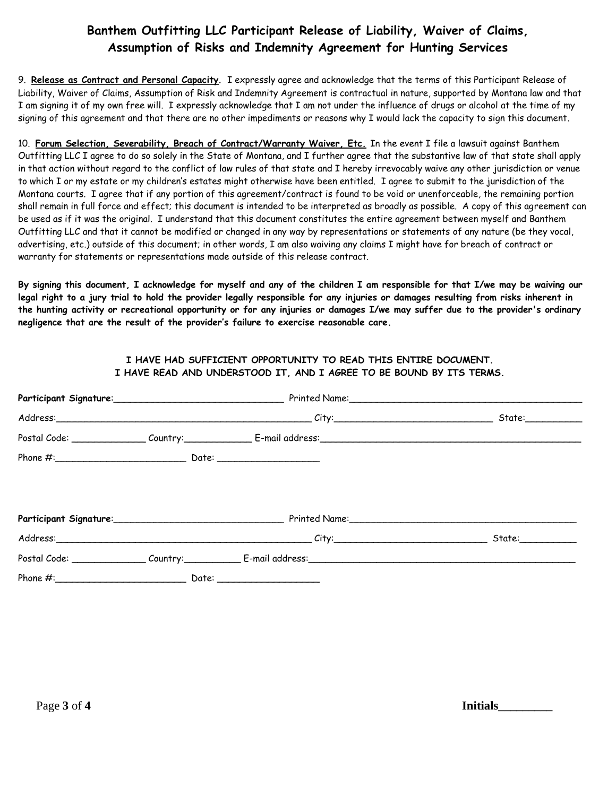9. **Release as Contract and Personal Capacity**. I expressly agree and acknowledge that the terms of this Participant Release of Liability, Waiver of Claims, Assumption of Risk and Indemnity Agreement is contractual in nature, supported by Montana law and that I am signing it of my own free will. I expressly acknowledge that I am not under the influence of drugs or alcohol at the time of my signing of this agreement and that there are no other impediments or reasons why I would lack the capacity to sign this document.

10. **Forum Selection, Severability, Breach of Contract/Warranty Waiver, Etc.** In the event I file a lawsuit against Banthem Outfitting LLC I agree to do so solely in the State of Montana, and I further agree that the substantive law of that state shall apply in that action without regard to the conflict of law rules of that state and I hereby irrevocably waive any other jurisdiction or venue to which I or my estate or my children's estates might otherwise have been entitled. I agree to submit to the jurisdiction of the Montana courts. I agree that if any portion of this agreement/contract is found to be void or unenforceable, the remaining portion shall remain in full force and effect; this document is intended to be interpreted as broadly as possible. A copy of this agreement can be used as if it was the original. I understand that this document constitutes the entire agreement between myself and Banthem Outfitting LLC and that it cannot be modified or changed in any way by representations or statements of any nature (be they vocal, advertising, etc.) outside of this document; in other words, I am also waiving any claims I might have for breach of contract or warranty for statements or representations made outside of this release contract.

**By signing this document, I acknowledge for myself and any of the children I am responsible for that I/we may be waiving our legal right to a jury trial to hold the provider legally responsible for any injuries or damages resulting from risks inherent in the hunting activity or recreational opportunity or for any injuries or damages I/we may suffer due to the provider's ordinary negligence that are the result of the provider's failure to exercise reasonable care.**

#### **I HAVE HAD SUFFICIENT OPPORTUNITY TO READ THIS ENTIRE DOCUMENT. I HAVE READ AND UNDERSTOOD IT, AND I AGREE TO BE BOUND BY ITS TERMS.**

|  | Address: State: State: State: State: State: State: State: State: State: State: State: State: State: State: State: State: State: State: State: State: State: State: State: State: State: State: State: State: State: State: Sta |  |
|--|--------------------------------------------------------------------------------------------------------------------------------------------------------------------------------------------------------------------------------|--|
|  |                                                                                                                                                                                                                                |  |
|  |                                                                                                                                                                                                                                |  |

Page **3** of **4 Initials\_\_\_\_\_\_\_\_\_**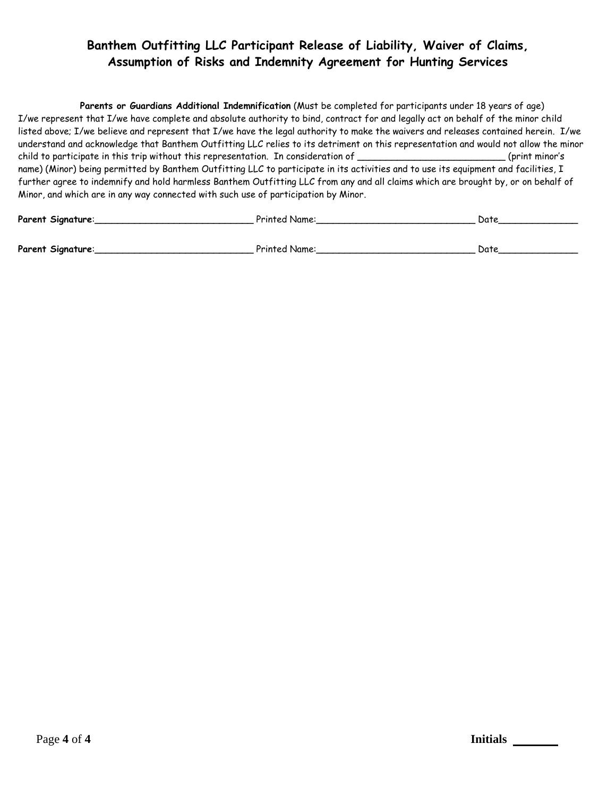**Parents or Guardians Additional Indemnification** (Must be completed for participants under 18 years of age) I/we represent that I/we have complete and absolute authority to bind, contract for and legally act on behalf of the minor child listed above; I/we believe and represent that I/we have the legal authority to make the waivers and releases contained herein. I/we understand and acknowledge that Banthem Outfitting LLC relies to its detriment on this representation and would not allow the minor child to participate in this trip without this representation. In consideration of \_\_\_\_\_\_\_\_\_\_\_\_\_\_\_\_\_\_\_\_\_\_\_\_\_\_ (print minor's name) (Minor) being permitted by Banthem Outfitting LLC to participate in its activities and to use its equipment and facilities, I further agree to indemnify and hold harmless Banthem Outfitting LLC from any and all claims which are brought by, or on behalf of Minor, and which are in any way connected with such use of participation by Minor.

| Parent Signature:<br><sup>D</sup> rinted Name:<br>Datr |  |
|--------------------------------------------------------|--|
|--------------------------------------------------------|--|

**Parent Signature**:\_\_\_\_\_\_\_\_\_\_\_\_\_\_\_\_\_\_\_\_\_\_\_\_\_\_\_\_ Printed Name:\_\_\_\_\_\_\_\_\_\_\_\_\_\_\_\_\_\_\_\_\_\_\_\_\_\_\_\_ Date\_\_\_\_\_\_\_\_\_\_\_\_\_\_